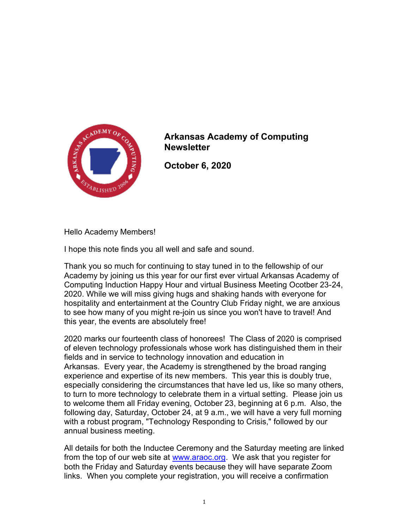

## Arkansas Academy of Computing **Newsletter**

October 6, 2020

Hello Academy Members!

I hope this note finds you all well and safe and sound.

Thank you so much for continuing to stay tuned in to the fellowship of our Academy by joining us this year for our first ever virtual Arkansas Academy of Computing Induction Happy Hour and virtual Business Meeting Ocotber 23-24, 2020. While we will miss giving hugs and shaking hands with everyone for hospitality and entertainment at the Country Club Friday night, we are anxious to see how many of you might re-join us since you won't have to travel! And this year, the events are absolutely free!

2020 marks our fourteenth class of honorees! The Class of 2020 is comprised of eleven technology professionals whose work has distinguished them in their fields and in service to technology innovation and education in Arkansas. Every year, the Academy is strengthened by the broad ranging experience and expertise of its new members. This year this is doubly true, especially considering the circumstances that have led us, like so many others, to turn to more technology to celebrate them in a virtual setting. Please join us to welcome them all Friday evening, October 23, beginning at 6 p.m. Also, the following day, Saturday, October 24, at 9 a.m., we will have a very full morning with a robust program, "Technology Responding to Crisis," followed by our annual business meeting.

All details for both the Inductee Ceremony and the Saturday meeting are linked from the top of our web site at www.araoc.org. We ask that you register for both the Friday and Saturday events because they will have separate Zoom links. When you complete your registration, you will receive a confirmation